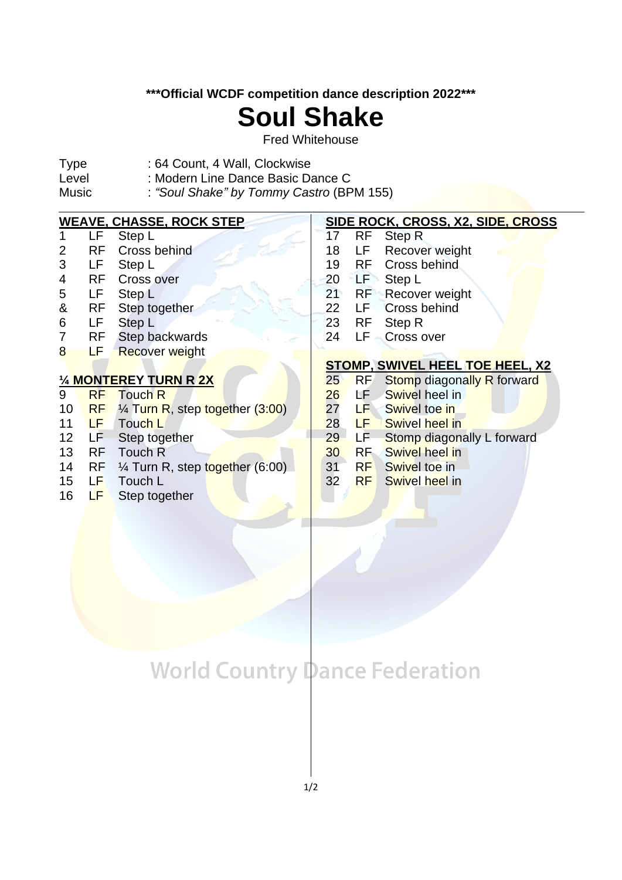**\*\*\*Official WCDF competition dance description 2022\*\*\***

## **Soul Shake**

Fred Whitehouse

- Type : 64 Count, 4 Wall, Clockwise<br>Level : Modern Line Dance Basic Da
- Level : Modern Line Dance Basic Dance C<br>Music : "Soul Shake" by Tommy Castro (BP
- : "Soul Shake" by Tommy Castro (BPM 155)

| <b>WEAVE, CHASSE, ROCK STEP</b> |           |                                            |    | SIDE ROCK, CROSS, X2, SIDE, CROSS       |  |  |
|---------------------------------|-----------|--------------------------------------------|----|-----------------------------------------|--|--|
|                                 | LF.       | Step L                                     | 17 | RF<br><b>Step R</b>                     |  |  |
| 2                               | <b>RF</b> | Cross behind                               | 18 | Recover weight<br>LF                    |  |  |
| 3                               | LF        | Step L                                     | 19 | RF.<br>Cross behind                     |  |  |
| 4                               | <b>RF</b> | Cross over                                 | 20 | LF<br>Step L                            |  |  |
| 5                               | LF        | Step L                                     | 21 | RF<br><b>Recover weight</b>             |  |  |
| &                               | <b>RF</b> | Step together                              | 22 | <b>Cross behind</b><br>LF-              |  |  |
| 6                               | LF.       | Step L                                     | 23 | <b>RF</b><br>Step R                     |  |  |
|                                 | RF        | Step backwards                             | 24 | LF<br><b>Cross over</b>                 |  |  |
| 8                               | LF        | <b>Recover weight</b>                      |    |                                         |  |  |
|                                 |           |                                            |    | <b>STOMP, SWIVEL HEEL TOE HEEL, X2</b>  |  |  |
| 1/4 MONTEREY TURN R 2X          |           |                                            | 25 |                                         |  |  |
|                                 |           |                                            |    | RF<br><b>Stomp diagonally R forward</b> |  |  |
| 9                               | <b>RF</b> | <b>Touch R</b>                             | 26 | Swivel heel in<br>LF .                  |  |  |
| 10                              | <b>RF</b> | 1/4 Turn R, step together (3:00)           | 27 | LF -<br>Swivel toe in                   |  |  |
| 11                              | LF.       | Touch L                                    | 28 | Swivel heel in<br>LF 1                  |  |  |
| 12                              | LF        | Step together                              | 29 | LF.<br>Stomp diagonally L forward       |  |  |
| 13                              | <b>RF</b> | Touch R                                    | 30 | RF.<br><b>Swivel heel in</b>            |  |  |
| 14                              | <b>RF</b> | $\frac{1}{4}$ Turn R, step together (6:00) | 31 | <b>RF</b><br>Swivel toe in              |  |  |
| 15                              | LF        | Touch L                                    | 32 | <b>RF</b><br>Swivel heel in             |  |  |
| 16                              | LF        | Step together                              |    |                                         |  |  |

## **World Country Dance Federation**